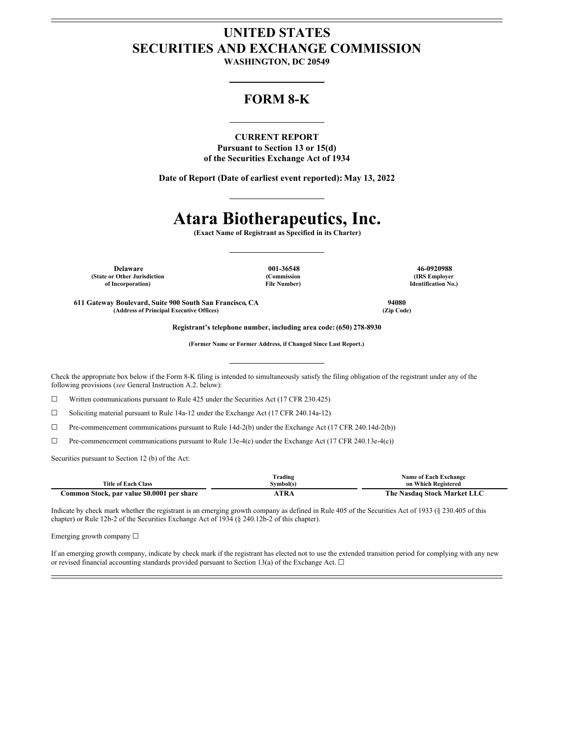## **UNITED STATES SECURITIES AND EXCHANGE COMMISSION**

**WASHINGTON, DC 20549**

### **FORM 8-K**

**CURRENT REPORT**

**Pursuant to Section 13 or 15(d) of the Securities Exchange Act of 1934**

**Date of Report (Date of earliest event reported): May 13, 2022**

# **Atara Biotherapeutics, Inc.**

**(Exact Name of Registrant as Specified in its Charter)**

**Delaware 001-36548 46-0920988 (State or Other Jurisdiction of Incorporation)**

**(Commission File Number)**

**(IRS Employer Identification No.)**

**611 Gateway Boulevard, Suite 900 South San Francisco, CA 94080 (Address of Principal Executive Offices) (Zip Code)**

**Registrant's telephone number, including area code: (650) 278-8930**

**(Former Name or Former Address, if Changed Since Last Report.)**

Check the appropriate box below if the Form 8-K filing is intended to simultaneously satisfy the filing obligation of the registrant under any of the following provisions (*see* General Instruction A.2. below):

☐ Written communications pursuant to Rule 425 under the Securities Act (17 CFR 230.425)

☐ Soliciting material pursuant to Rule 14a-12 under the Exchange Act (17 CFR 240.14a-12)

☐ Pre-commencement communications pursuant to Rule 14d-2(b) under the Exchange Act (17 CFR 240.14d-2(b))

☐ Pre-commencement communications pursuant to Rule 13e-4(c) under the Exchange Act (17 CFR 240.13e-4(c))

Securities pursuant to Section 12 (b) of the Act:

|                                            | <b>Trading</b> | <b>Name of Each Exchange</b> |
|--------------------------------------------|----------------|------------------------------|
| <b>Title of Each Class</b>                 | Symbol(s)      | on Which Registered          |
| Common Stock, par value \$0.0001 per share | <b>TRA</b>     | The Nasdaq Stock Market LLC  |

Indicate by check mark whether the registrant is an emerging growth company as defined in Rule 405 of the Securities Act of 1933 (§ 230.405 of this chapter) or Rule 12b-2 of the Securities Exchange Act of 1934 (§ 240.12b-2 of this chapter).

Emerging growth company ☐

If an emerging growth company, indicate by check mark if the registrant has elected not to use the extended transition period for complying with any new or revised financial accounting standards provided pursuant to Section 13(a) of the Exchange Act.  $\Box$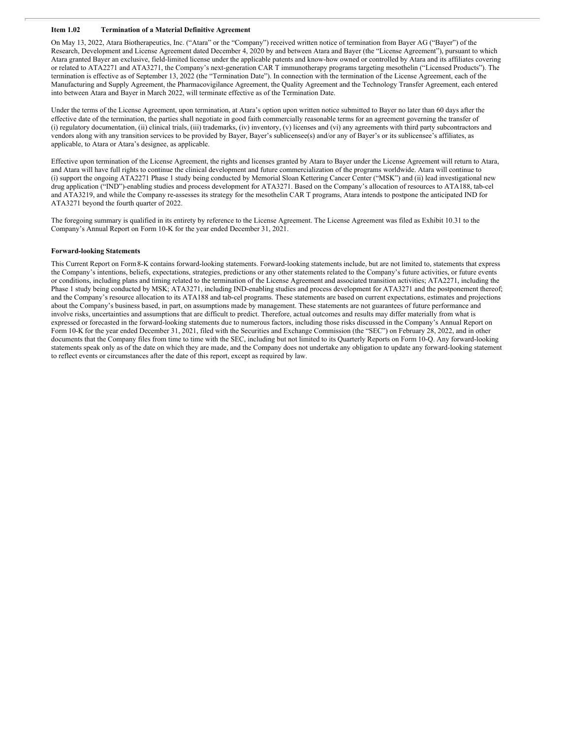#### **Item 1.02 Termination of a Material Definitive Agreement**

On May 13, 2022, Atara Biotherapeutics, Inc. ("Atara" or the "Company") received written notice of termination from Bayer AG ("Bayer") of the Research, Development and License Agreement dated December 4, 2020 by and between Atara and Bayer (the "License Agreement"), pursuant to which Atara granted Bayer an exclusive, field-limited license under the applicable patents and know-how owned or controlled by Atara and its affiliates covering or related to ATA2271 and ATA3271, the Company's next-generation CAR T immunotherapy programs targeting mesothelin ("Licensed Products"). The termination is effective as of September 13, 2022 (the "Termination Date"). In connection with the termination of the License Agreement, each of the Manufacturing and Supply Agreement, the Pharmacovigilance Agreement, the Quality Agreement and the Technology Transfer Agreement, each entered into between Atara and Bayer in March 2022, will terminate effective as of the Termination Date.

Under the terms of the License Agreement, upon termination, at Atara's option upon written notice submitted to Bayer no later than 60 days after the effective date of the termination, the parties shall negotiate in good faith commercially reasonable terms for an agreement governing the transfer of (i) regulatory documentation, (ii) clinical trials, (iii) trademarks, (iv) inventory, (v) licenses and (vi) any agreements with third party subcontractors and vendors along with any transition services to be provided by Bayer, Bayer's sublicensee(s) and/or any of Bayer's or its sublicensee's affiliates, as applicable, to Atara or Atara's designee, as applicable.

Effective upon termination of the License Agreement, the rights and licenses granted by Atara to Bayer under the License Agreement will return to Atara, and Atara will have full rights to continue the clinical development and future commercialization of the programs worldwide. Atara will continue to (i) support the ongoing ATA2271 Phase 1 study being conducted by Memorial Sloan Kettering Cancer Center ("MSK") and (ii) lead investigational new drug application ("IND")-enabling studies and process development for ATA3271. Based on the Company's allocation of resources to ATA188, tab-cel and ATA3219, and while the Company re-assesses its strategy for the mesothelin CAR T programs, Atara intends to postpone the anticipated IND for ATA3271 beyond the fourth quarter of 2022.

The foregoing summary is qualified in its entirety by reference to the License Agreement. The License Agreement was filed as Exhibit 10.31 to the Company's Annual Report on Form 10-K for the year ended December 31, 2021.

#### **Forward-looking Statements**

This Current Report on Form8-K contains forward-looking statements. Forward-looking statements include, but are not limited to, statements that express the Company's intentions, beliefs, expectations, strategies, predictions or any other statements related to the Company's future activities, or future events or conditions, including plans and timing related to the termination of the License Agreement and associated transition activities; ATA2271, including the Phase 1 study being conducted by MSK; ATA3271, including IND-enabling studies and process development for ATA3271 and the postponement thereof; and the Company's resource allocation to its ATA188 and tab-cel programs. These statements are based on current expectations, estimates and projections about the Company's business based, in part, on assumptions made by management. These statements are not guarantees of future performance and involve risks, uncertainties and assumptions that are difficult to predict. Therefore, actual outcomes and results may differ materially from what is expressed or forecasted in the forward-looking statements due to numerous factors, including those risks discussed in the Company's Annual Report on Form 10-K for the year ended December 31, 2021, filed with the Securities and Exchange Commission (the "SEC") on February 28, 2022, and in other documents that the Company files from time to time with the SEC, including but not limited to its Quarterly Reports on Form 10-Q. Any forward-looking statements speak only as of the date on which they are made, and the Company does not undertake any obligation to update any forward-looking statement to reflect events or circumstances after the date of this report, except as required by law.